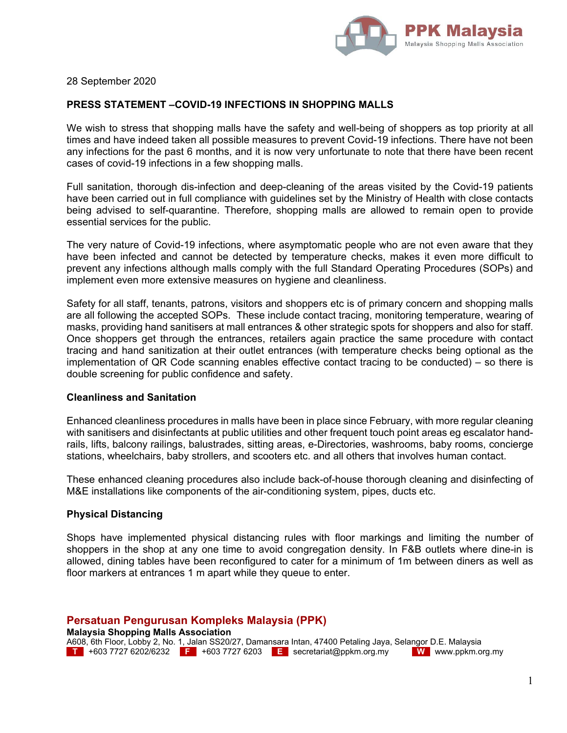

28 September 2020

# **PRESS STATEMENT –COVID-19 INFECTIONS IN SHOPPING MALLS**

We wish to stress that shopping malls have the safety and well-being of shoppers as top priority at all times and have indeed taken all possible measures to prevent Covid-19 infections. There have not been any infections for the past 6 months, and it is now very unfortunate to note that there have been recent cases of covid-19 infections in a few shopping malls.

Full sanitation, thorough dis-infection and deep-cleaning of the areas visited by the Covid-19 patients have been carried out in full compliance with guidelines set by the Ministry of Health with close contacts being advised to self-quarantine. Therefore, shopping malls are allowed to remain open to provide essential services for the public.

The very nature of Covid-19 infections, where asymptomatic people who are not even aware that they have been infected and cannot be detected by temperature checks, makes it even more difficult to prevent any infections although malls comply with the full Standard Operating Procedures (SOPs) and implement even more extensive measures on hygiene and cleanliness.

Safety for all staff, tenants, patrons, visitors and shoppers etc is of primary concern and shopping malls are all following the accepted SOPs. These include contact tracing, monitoring temperature, wearing of masks, providing hand sanitisers at mall entrances & other strategic spots for shoppers and also for staff. Once shoppers get through the entrances, retailers again practice the same procedure with contact tracing and hand sanitization at their outlet entrances (with temperature checks being optional as the implementation of QR Code scanning enables effective contact tracing to be conducted) – so there is double screening for public confidence and safety.

### **Cleanliness and Sanitation**

Enhanced cleanliness procedures in malls have been in place since February, with more regular cleaning with sanitisers and disinfectants at public utilities and other frequent touch point areas eg escalator handrails, lifts, balcony railings, balustrades, sitting areas, e-Directories, washrooms, baby rooms, concierge stations, wheelchairs, baby strollers, and scooters etc. and all others that involves human contact.

These enhanced cleaning procedures also include back-of-house thorough cleaning and disinfecting of M&E installations like components of the air-conditioning system, pipes, ducts etc.

## **Physical Distancing**

Shops have implemented physical distancing rules with floor markings and limiting the number of shoppers in the shop at any one time to avoid congregation density. In F&B outlets where dine-in is allowed, dining tables have been reconfigured to cater for a minimum of 1m between diners as well as floor markers at entrances 1 m apart while they queue to enter.

**Persatuan Pengurusan Kompleks Malaysia (PPK)** 

**Malaysia Shopping Malls Association**  A608, 6th Floor, Lobby 2, No. 1, Jalan SS20/27, Damansara Intan, 47400 Petaling Jaya, Selangor D.E. Malaysia **T** +603 7727 6202/6232 **F** +603 7727 6203 **E** secretariat@ppkm.org.my **W** www.ppkm.org.my